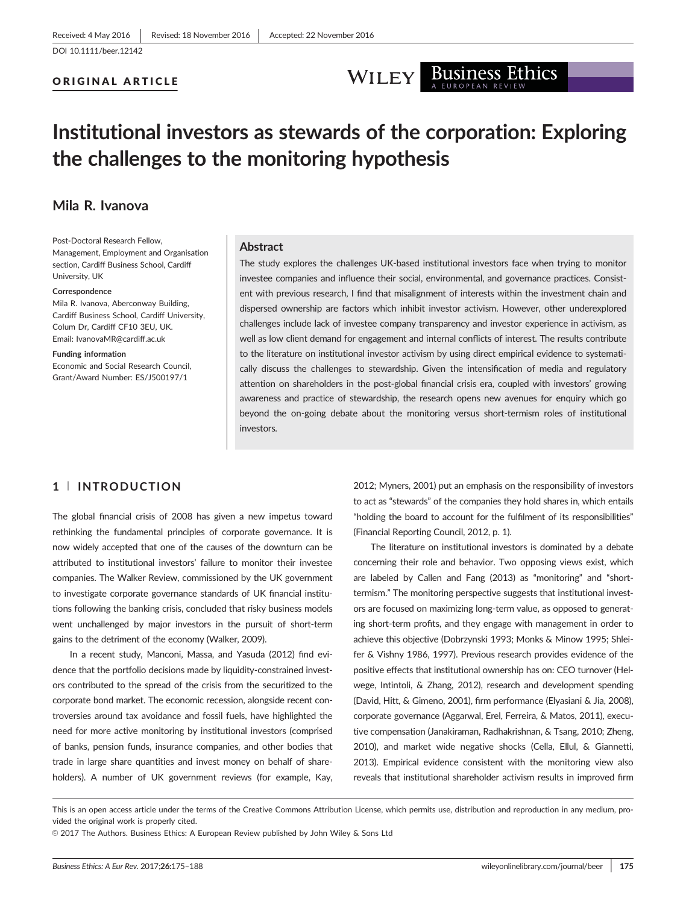#### ORIGINAL ARTICLE



# Institutional investors as stewards of the corporation: Exploring the challenges to the monitoring hypothesis

### Mila R. Ivanova

Post-Doctoral Research Fellow, Management, Employment and Organisation section, Cardiff Business School, Cardiff University, UK

#### Correspondence

Mila R. Ivanova, Aberconway Building, Cardiff Business School, Cardiff University, Colum Dr, Cardiff CF10 3EU, UK. Email: IvanovaMR@cardiff.ac.uk

#### Funding information

Economic and Social Research Council, Grant/Award Number: ES/J500197/1

#### Abstract

The study explores the challenges UK-based institutional investors face when trying to monitor investee companies and influence their social, environmental, and governance practices. Consistent with previous research, I find that misalignment of interests within the investment chain and dispersed ownership are factors which inhibit investor activism. However, other underexplored challenges include lack of investee company transparency and investor experience in activism, as well as low client demand for engagement and internal conflicts of interest. The results contribute to the literature on institutional investor activism by using direct empirical evidence to systematically discuss the challenges to stewardship. Given the intensification of media and regulatory attention on shareholders in the post-global financial crisis era, coupled with investors' growing awareness and practice of stewardship, the research opens new avenues for enquiry which go beyond the on-going debate about the monitoring versus short-termism roles of institutional investors.

#### 1 <sup>|</sup> INTRODUCTION

The global financial crisis of 2008 has given a new impetus toward rethinking the fundamental principles of corporate governance. It is now widely accepted that one of the causes of the downturn can be attributed to institutional investors' failure to monitor their investee companies. The Walker Review, commissioned by the UK government to investigate corporate governance standards of UK financial institutions following the banking crisis, concluded that risky business models went unchallenged by major investors in the pursuit of short-term gains to the detriment of the economy (Walker, 2009).

In a recent study, Manconi, Massa, and Yasuda (2012) find evidence that the portfolio decisions made by liquidity-constrained investors contributed to the spread of the crisis from the securitized to the corporate bond market. The economic recession, alongside recent controversies around tax avoidance and fossil fuels, have highlighted the need for more active monitoring by institutional investors (comprised of banks, pension funds, insurance companies, and other bodies that trade in large share quantities and invest money on behalf of shareholders). A number of UK government reviews (for example, Kay,

2012; Myners, 2001) put an emphasis on the responsibility of investors to act as "stewards" of the companies they hold shares in, which entails "holding the board to account for the fulfilment of its responsibilities" (Financial Reporting Council, 2012, p. 1).

The literature on institutional investors is dominated by a debate concerning their role and behavior. Two opposing views exist, which are labeled by Callen and Fang (2013) as "monitoring" and "shorttermism." The monitoring perspective suggests that institutional investors are focused on maximizing long-term value, as opposed to generating short-term profits, and they engage with management in order to achieve this objective (Dobrzynski 1993; Monks & Minow 1995; Shleifer & Vishny 1986, 1997). Previous research provides evidence of the positive effects that institutional ownership has on: CEO turnover (Helwege, Intintoli, & Zhang, 2012), research and development spending (David, Hitt, & Gimeno, 2001), firm performance (Elyasiani & Jia, 2008), corporate governance (Aggarwal, Erel, Ferreira, & Matos, 2011), executive compensation (Janakiraman, Radhakrishnan, & Tsang, 2010; Zheng, 2010), and market wide negative shocks (Cella, Ellul, & Giannetti, 2013). Empirical evidence consistent with the monitoring view also reveals that institutional shareholder activism results in improved firm

This is an open access article under the terms of the [Creative Commons Attribution](http://creativecommons.org/licenses/by/4.0/) License, which permits use, distribution and reproduction in any medium, provided the original work is properly cited.

V<sup>C</sup> 2017 The Authors. Business Ethics: A European Review published by John Wiley & Sons Ltd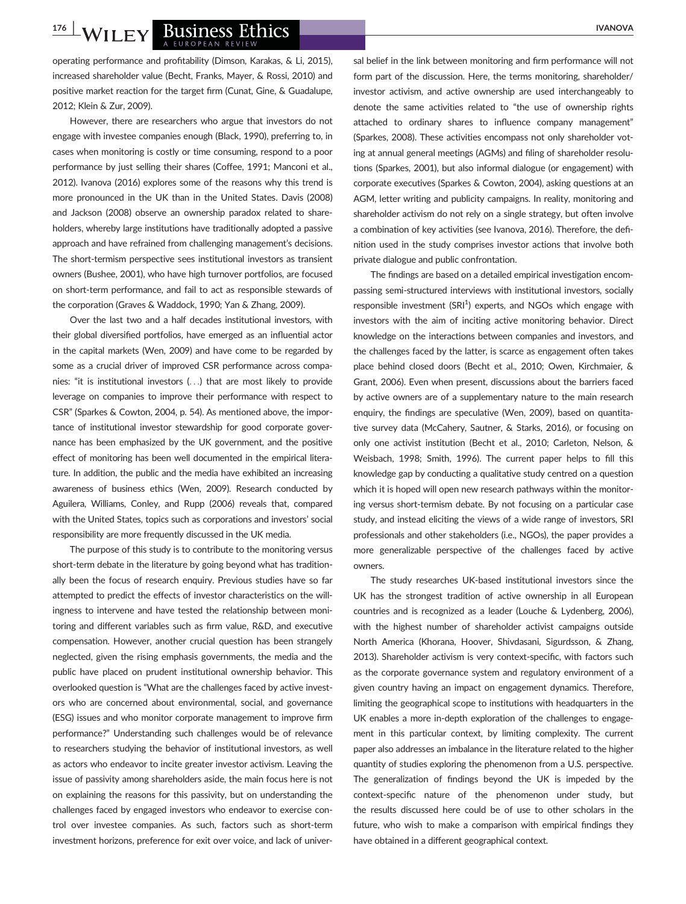#### WILEY BUSINESS Ethics A EUROPEAN REVIEW

operating performance and profitability (Dimson, Karakas, & Li, 2015), increased shareholder value (Becht, Franks, Mayer, & Rossi, 2010) and positive market reaction for the target firm (Cunat, Gine, & Guadalupe, 2012; Klein & Zur, 2009).

However, there are researchers who argue that investors do not engage with investee companies enough (Black, 1990), preferring to, in cases when monitoring is costly or time consuming, respond to a poor performance by just selling their shares (Coffee, 1991; Manconi et al., 2012). Ivanova (2016) explores some of the reasons why this trend is more pronounced in the UK than in the United States. Davis (2008) and Jackson (2008) observe an ownership paradox related to shareholders, whereby large institutions have traditionally adopted a passive approach and have refrained from challenging management's decisions. The short-termism perspective sees institutional investors as transient owners (Bushee, 2001), who have high turnover portfolios, are focused on short-term performance, and fail to act as responsible stewards of the corporation (Graves & Waddock, 1990; Yan & Zhang, 2009).

Over the last two and a half decades institutional investors, with their global diversified portfolios, have emerged as an influential actor in the capital markets (Wen, 2009) and have come to be regarded by some as a crucial driver of improved CSR performance across companies: "it is institutional investors (...) that are most likely to provide leverage on companies to improve their performance with respect to CSR" (Sparkes & Cowton, 2004, p. 54). As mentioned above, the importance of institutional investor stewardship for good corporate governance has been emphasized by the UK government, and the positive effect of monitoring has been well documented in the empirical literature. In addition, the public and the media have exhibited an increasing awareness of business ethics (Wen, 2009). Research conducted by Aguilera, Williams, Conley, and Rupp (2006) reveals that, compared with the United States, topics such as corporations and investors' social responsibility are more frequently discussed in the UK media.

The purpose of this study is to contribute to the monitoring versus short-term debate in the literature by going beyond what has traditionally been the focus of research enquiry. Previous studies have so far attempted to predict the effects of investor characteristics on the willingness to intervene and have tested the relationship between monitoring and different variables such as firm value, R&D, and executive compensation. However, another crucial question has been strangely neglected, given the rising emphasis governments, the media and the public have placed on prudent institutional ownership behavior. This overlooked question is "What are the challenges faced by active investors who are concerned about environmental, social, and governance (ESG) issues and who monitor corporate management to improve firm performance?" Understanding such challenges would be of relevance to researchers studying the behavior of institutional investors, as well as actors who endeavor to incite greater investor activism. Leaving the issue of passivity among shareholders aside, the main focus here is not on explaining the reasons for this passivity, but on understanding the challenges faced by engaged investors who endeavor to exercise control over investee companies. As such, factors such as short-term investment horizons, preference for exit over voice, and lack of universal belief in the link between monitoring and firm performance will not form part of the discussion. Here, the terms monitoring, shareholder/ investor activism, and active ownership are used interchangeably to denote the same activities related to "the use of ownership rights attached to ordinary shares to influence company management" (Sparkes, 2008). These activities encompass not only shareholder voting at annual general meetings (AGMs) and filing of shareholder resolutions (Sparkes, 2001), but also informal dialogue (or engagement) with corporate executives (Sparkes & Cowton, 2004), asking questions at an AGM, letter writing and publicity campaigns. In reality, monitoring and shareholder activism do not rely on a single strategy, but often involve a combination of key activities (see Ivanova, 2016). Therefore, the definition used in the study comprises investor actions that involve both private dialogue and public confrontation.

The findings are based on a detailed empirical investigation encompassing semi-structured interviews with institutional investors, socially responsible investment (SRI<sup>1</sup>) experts, and NGOs which engage with investors with the aim of inciting active monitoring behavior. Direct knowledge on the interactions between companies and investors, and the challenges faced by the latter, is scarce as engagement often takes place behind closed doors (Becht et al., 2010; Owen, Kirchmaier, & Grant, 2006). Even when present, discussions about the barriers faced by active owners are of a supplementary nature to the main research enquiry, the findings are speculative (Wen, 2009), based on quantitative survey data (McCahery, Sautner, & Starks, 2016), or focusing on only one activist institution (Becht et al., 2010; Carleton, Nelson, & Weisbach, 1998; Smith, 1996). The current paper helps to fill this knowledge gap by conducting a qualitative study centred on a question which it is hoped will open new research pathways within the monitoring versus short-termism debate. By not focusing on a particular case study, and instead eliciting the views of a wide range of investors, SRI professionals and other stakeholders (i.e., NGOs), the paper provides a more generalizable perspective of the challenges faced by active owners.

The study researches UK-based institutional investors since the UK has the strongest tradition of active ownership in all European countries and is recognized as a leader (Louche & Lydenberg, 2006), with the highest number of shareholder activist campaigns outside North America (Khorana, Hoover, Shivdasani, Sigurdsson, & Zhang, 2013). Shareholder activism is very context-specific, with factors such as the corporate governance system and regulatory environment of a given country having an impact on engagement dynamics. Therefore, limiting the geographical scope to institutions with headquarters in the UK enables a more in-depth exploration of the challenges to engagement in this particular context, by limiting complexity. The current paper also addresses an imbalance in the literature related to the higher quantity of studies exploring the phenomenon from a U.S. perspective. The generalization of findings beyond the UK is impeded by the context-specific nature of the phenomenon under study, but the results discussed here could be of use to other scholars in the future, who wish to make a comparison with empirical findings they have obtained in a different geographical context.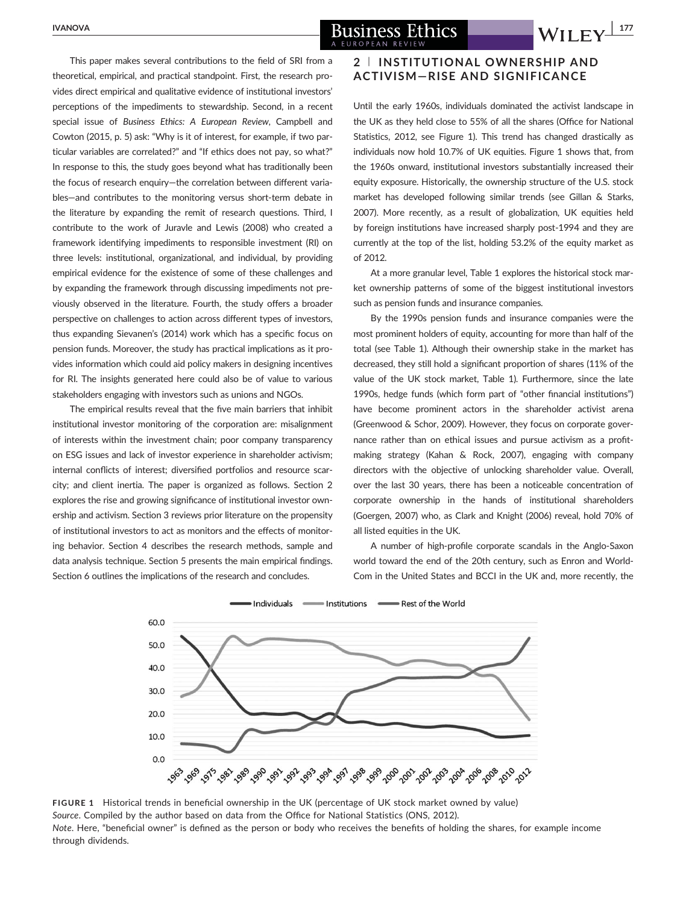This paper makes several contributions to the field of SRI from a theoretical, empirical, and practical standpoint. First, the research provides direct empirical and qualitative evidence of institutional investors' perceptions of the impediments to stewardship. Second, in a recent special issue of Business Ethics: A European Review, Campbell and Cowton (2015, p. 5) ask: "Why is it of interest, for example, if two particular variables are correlated?" and "If ethics does not pay, so what?" In response to this, the study goes beyond what has traditionally been the focus of research enquiry—the correlation between different variables—and contributes to the monitoring versus short-term debate in the literature by expanding the remit of research questions. Third, I contribute to the work of Juravle and Lewis (2008) who created a framework identifying impediments to responsible investment (RI) on three levels: institutional, organizational, and individual, by providing empirical evidence for the existence of some of these challenges and by expanding the framework through discussing impediments not previously observed in the literature. Fourth, the study offers a broader perspective on challenges to action across different types of investors, thus expanding Sievanen's (2014) work which has a specific focus on pension funds. Moreover, the study has practical implications as it provides information which could aid policy makers in designing incentives for RI. The insights generated here could also be of value to various stakeholders engaging with investors such as unions and NGOs.

The empirical results reveal that the five main barriers that inhibit institutional investor monitoring of the corporation are: misalignment of interests within the investment chain; poor company transparency on ESG issues and lack of investor experience in shareholder activism; internal conflicts of interest; diversified portfolios and resource scarcity; and client inertia. The paper is organized as follows. Section 2 explores the rise and growing significance of institutional investor ownership and activism. Section 3 reviews prior literature on the propensity of institutional investors to act as monitors and the effects of monitoring behavior. Section 4 describes the research methods, sample and data analysis technique. Section 5 presents the main empirical findings. Section 6 outlines the implications of the research and concludes.

#### 2 <sup>|</sup> INSTITUTIONAL OWNERSHIP AND ACTIVISM—RISE AND SIGNIFICANCE

Until the early 1960s, individuals dominated the activist landscape in the UK as they held close to 55% of all the shares (Office for National Statistics, 2012, see Figure 1). This trend has changed drastically as individuals now hold 10.7% of UK equities. Figure 1 shows that, from the 1960s onward, institutional investors substantially increased their equity exposure. Historically, the ownership structure of the U.S. stock market has developed following similar trends (see Gillan & Starks, 2007). More recently, as a result of globalization, UK equities held by foreign institutions have increased sharply post-1994 and they are currently at the top of the list, holding 53.2% of the equity market as of 2012.

At a more granular level, Table 1 explores the historical stock market ownership patterns of some of the biggest institutional investors such as pension funds and insurance companies.

By the 1990s pension funds and insurance companies were the most prominent holders of equity, accounting for more than half of the total (see Table 1). Although their ownership stake in the market has decreased, they still hold a significant proportion of shares (11% of the value of the UK stock market, Table 1). Furthermore, since the late 1990s, hedge funds (which form part of "other financial institutions") have become prominent actors in the shareholder activist arena (Greenwood & Schor, 2009). However, they focus on corporate governance rather than on ethical issues and pursue activism as a profitmaking strategy (Kahan & Rock, 2007), engaging with company directors with the objective of unlocking shareholder value. Overall, over the last 30 years, there has been a noticeable concentration of corporate ownership in the hands of institutional shareholders (Goergen, 2007) who, as Clark and Knight (2006) reveal, hold 70% of all listed equities in the UK.

A number of high-profile corporate scandals in the Anglo-Saxon world toward the end of the 20th century, such as Enron and World-Com in the United States and BCCI in the UK and, more recently, the



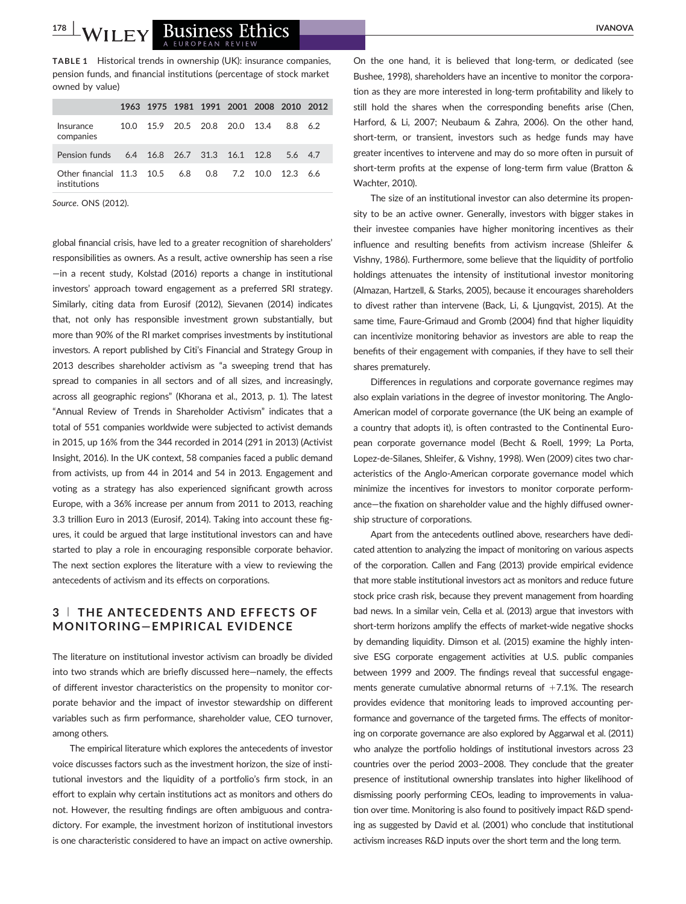## II EY Business Ethics

TABLE 1 Historical trends in ownership (UK): insurance companies, pension funds, and financial institutions (percentage of stock market owned by value)

|                                                                     |  |                               |  | 1963 1975 1981 1991 2001 2008 2010 2012 |  |
|---------------------------------------------------------------------|--|-------------------------------|--|-----------------------------------------|--|
| Insurance<br>companies                                              |  | 10.0 15.9 20.5 20.8 20.0 13.4 |  | 88 62                                   |  |
| Pension funds 6.4 16.8 26.7 31.3 16.1 12.8 5.6 4.7                  |  |                               |  |                                         |  |
| Other financial 11.3 10.5 6.8 0.8 7.2 10.0 12.3 6.6<br>institutions |  |                               |  |                                         |  |

Source. ONS (2012).

global financial crisis, have led to a greater recognition of shareholders' responsibilities as owners. As a result, active ownership has seen a rise —in a recent study, Kolstad (2016) reports a change in institutional investors' approach toward engagement as a preferred SRI strategy. Similarly, citing data from Eurosif (2012), Sievanen (2014) indicates that, not only has responsible investment grown substantially, but more than 90% of the RI market comprises investments by institutional investors. A report published by Citi's Financial and Strategy Group in 2013 describes shareholder activism as "a sweeping trend that has spread to companies in all sectors and of all sizes, and increasingly, across all geographic regions" (Khorana et al., 2013, p. 1). The latest "Annual Review of Trends in Shareholder Activism" indicates that a total of 551 companies worldwide were subjected to activist demands in 2015, up 16% from the 344 recorded in 2014 (291 in 2013) (Activist Insight, 2016). In the UK context, 58 companies faced a public demand from activists, up from 44 in 2014 and 54 in 2013. Engagement and voting as a strategy has also experienced significant growth across Europe, with a 36% increase per annum from 2011 to 2013, reaching 3.3 trillion Euro in 2013 (Eurosif, 2014). Taking into account these figures, it could be argued that large institutional investors can and have started to play a role in encouraging responsible corporate behavior. The next section explores the literature with a view to reviewing the antecedents of activism and its effects on corporations.

#### 3 <sup>|</sup> THE ANTECEDENTS AND EFFECTS OF MONITORING—EMPIRICAL EVIDENCE

The literature on institutional investor activism can broadly be divided into two strands which are briefly discussed here—namely, the effects of different investor characteristics on the propensity to monitor corporate behavior and the impact of investor stewardship on different variables such as firm performance, shareholder value, CEO turnover, among others.

The empirical literature which explores the antecedents of investor voice discusses factors such as the investment horizon, the size of institutional investors and the liquidity of a portfolio's firm stock, in an effort to explain why certain institutions act as monitors and others do not. However, the resulting findings are often ambiguous and contradictory. For example, the investment horizon of institutional investors is one characteristic considered to have an impact on active ownership.

On the one hand, it is believed that long-term, or dedicated (see Bushee, 1998), shareholders have an incentive to monitor the corporation as they are more interested in long-term profitability and likely to still hold the shares when the corresponding benefits arise (Chen, Harford, & Li, 2007; Neubaum & Zahra, 2006). On the other hand, short-term, or transient, investors such as hedge funds may have greater incentives to intervene and may do so more often in pursuit of short-term profits at the expense of long-term firm value (Bratton & Wachter, 2010).

The size of an institutional investor can also determine its propensity to be an active owner. Generally, investors with bigger stakes in their investee companies have higher monitoring incentives as their influence and resulting benefits from activism increase (Shleifer & Vishny, 1986). Furthermore, some believe that the liquidity of portfolio holdings attenuates the intensity of institutional investor monitoring (Almazan, Hartzell, & Starks, 2005), because it encourages shareholders to divest rather than intervene (Back, Li, & Ljungqvist, 2015). At the same time, Faure-Grimaud and Gromb (2004) find that higher liquidity can incentivize monitoring behavior as investors are able to reap the benefits of their engagement with companies, if they have to sell their shares prematurely.

Differences in regulations and corporate governance regimes may also explain variations in the degree of investor monitoring. The Anglo-American model of corporate governance (the UK being an example of a country that adopts it), is often contrasted to the Continental European corporate governance model (Becht & Roell, 1999; La Porta, Lopez-de-Silanes, Shleifer, & Vishny, 1998). Wen (2009) cites two characteristics of the Anglo-American corporate governance model which minimize the incentives for investors to monitor corporate performance—the fixation on shareholder value and the highly diffused ownership structure of corporations.

Apart from the antecedents outlined above, researchers have dedicated attention to analyzing the impact of monitoring on various aspects of the corporation. Callen and Fang (2013) provide empirical evidence that more stable institutional investors act as monitors and reduce future stock price crash risk, because they prevent management from hoarding bad news. In a similar vein, Cella et al. (2013) argue that investors with short-term horizons amplify the effects of market-wide negative shocks by demanding liquidity. Dimson et al. (2015) examine the highly intensive ESG corporate engagement activities at U.S. public companies between 1999 and 2009. The findings reveal that successful engagements generate cumulative abnormal returns of  $+7.1\%$ . The research provides evidence that monitoring leads to improved accounting performance and governance of the targeted firms. The effects of monitoring on corporate governance are also explored by Aggarwal et al. (2011) who analyze the portfolio holdings of institutional investors across 23 countries over the period 2003–2008. They conclude that the greater presence of institutional ownership translates into higher likelihood of dismissing poorly performing CEOs, leading to improvements in valuation over time. Monitoring is also found to positively impact R&D spending as suggested by David et al. (2001) who conclude that institutional activism increases R&D inputs over the short term and the long term.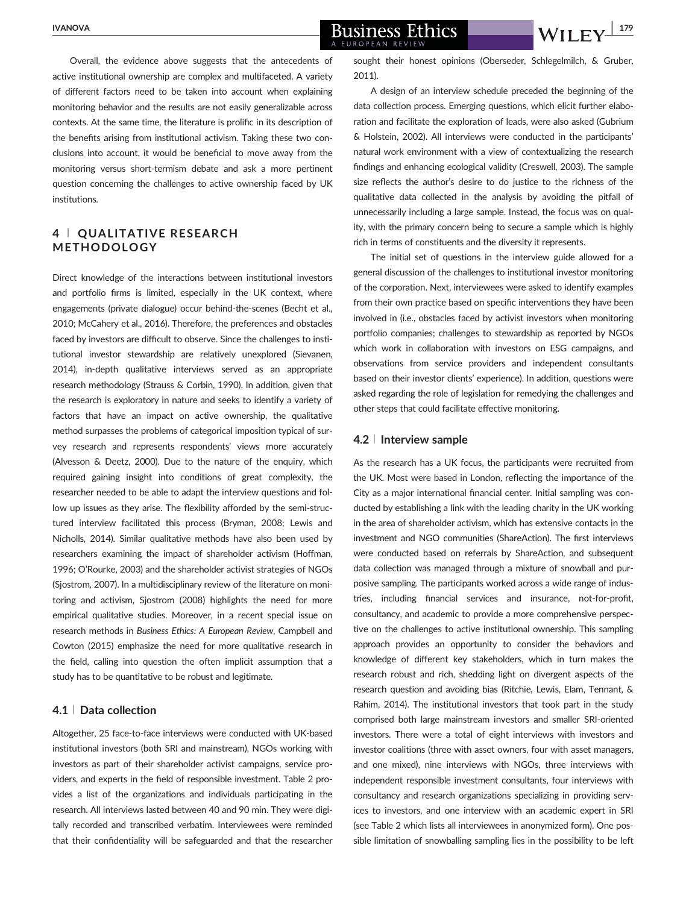institutions.

 $\frac{NANOVA}{NANOVA}$  Business Ethics  $\frac{179}{NII}$ A EUROPEAN REVIEV

#### 4 <sup>|</sup> QUALITATIVE RESEARCH METHODOLOGY

Direct knowledge of the interactions between institutional investors and portfolio firms is limited, especially in the UK context, where engagements (private dialogue) occur behind-the-scenes (Becht et al., 2010; McCahery et al., 2016). Therefore, the preferences and obstacles faced by investors are difficult to observe. Since the challenges to institutional investor stewardship are relatively unexplored (Sievanen, 2014), in-depth qualitative interviews served as an appropriate research methodology (Strauss & Corbin, 1990). In addition, given that the research is exploratory in nature and seeks to identify a variety of factors that have an impact on active ownership, the qualitative method surpasses the problems of categorical imposition typical of survey research and represents respondents' views more accurately (Alvesson & Deetz, 2000). Due to the nature of the enquiry, which required gaining insight into conditions of great complexity, the researcher needed to be able to adapt the interview questions and follow up issues as they arise. The flexibility afforded by the semi-structured interview facilitated this process (Bryman, 2008; Lewis and Nicholls, 2014). Similar qualitative methods have also been used by researchers examining the impact of shareholder activism (Hoffman, 1996; O'Rourke, 2003) and the shareholder activist strategies of NGOs (Sjostrom, 2007). In a multidisciplinary review of the literature on monitoring and activism, Sjostrom (2008) highlights the need for more empirical qualitative studies. Moreover, in a recent special issue on research methods in Business Ethics: A European Review, Campbell and Cowton (2015) emphasize the need for more qualitative research in the field, calling into question the often implicit assumption that a study has to be quantitative to be robust and legitimate.

#### 4.1 <sup>|</sup> Data collection

Altogether, 25 face-to-face interviews were conducted with UK-based institutional investors (both SRI and mainstream), NGOs working with investors as part of their shareholder activist campaigns, service providers, and experts in the field of responsible investment. Table 2 provides a list of the organizations and individuals participating in the research. All interviews lasted between 40 and 90 min. They were digitally recorded and transcribed verbatim. Interviewees were reminded that their confidentiality will be safeguarded and that the researcher

sought their honest opinions (Oberseder, Schlegelmilch, & Gruber, 2011).

A design of an interview schedule preceded the beginning of the data collection process. Emerging questions, which elicit further elaboration and facilitate the exploration of leads, were also asked (Gubrium & Holstein, 2002). All interviews were conducted in the participants' natural work environment with a view of contextualizing the research findings and enhancing ecological validity (Creswell, 2003). The sample size reflects the author's desire to do justice to the richness of the qualitative data collected in the analysis by avoiding the pitfall of unnecessarily including a large sample. Instead, the focus was on quality, with the primary concern being to secure a sample which is highly rich in terms of constituents and the diversity it represents.

The initial set of questions in the interview guide allowed for a general discussion of the challenges to institutional investor monitoring of the corporation. Next, interviewees were asked to identify examples from their own practice based on specific interventions they have been involved in (i.e., obstacles faced by activist investors when monitoring portfolio companies; challenges to stewardship as reported by NGOs which work in collaboration with investors on ESG campaigns, and observations from service providers and independent consultants based on their investor clients' experience). In addition, questions were asked regarding the role of legislation for remedying the challenges and other steps that could facilitate effective monitoring.

#### 4.2 <sup>|</sup> Interview sample

As the research has a UK focus, the participants were recruited from the UK. Most were based in London, reflecting the importance of the City as a major international financial center. Initial sampling was conducted by establishing a link with the leading charity in the UK working in the area of shareholder activism, which has extensive contacts in the investment and NGO communities (ShareAction). The first interviews were conducted based on referrals by ShareAction, and subsequent data collection was managed through a mixture of snowball and purposive sampling. The participants worked across a wide range of industries, including financial services and insurance, not-for-profit, consultancy, and academic to provide a more comprehensive perspective on the challenges to active institutional ownership. This sampling approach provides an opportunity to consider the behaviors and knowledge of different key stakeholders, which in turn makes the research robust and rich, shedding light on divergent aspects of the research question and avoiding bias (Ritchie, Lewis, Elam, Tennant, & Rahim, 2014). The institutional investors that took part in the study comprised both large mainstream investors and smaller SRI-oriented investors. There were a total of eight interviews with investors and investor coalitions (three with asset owners, four with asset managers, and one mixed), nine interviews with NGOs, three interviews with independent responsible investment consultants, four interviews with consultancy and research organizations specializing in providing services to investors, and one interview with an academic expert in SRI (see Table 2 which lists all interviewees in anonymized form). One possible limitation of snowballing sampling lies in the possibility to be left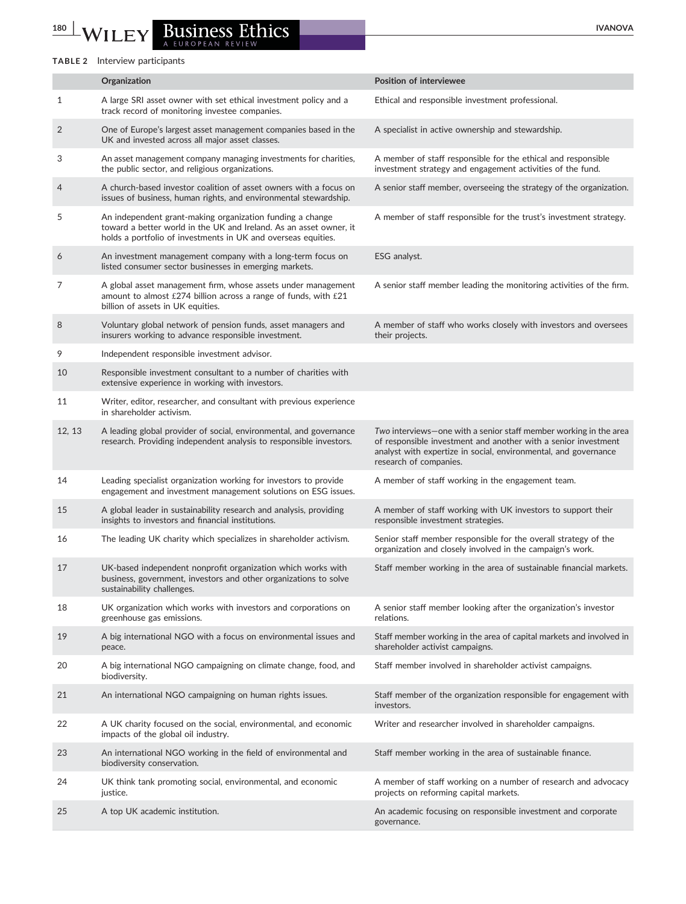# 180 WILEY Business Ethics WAND A EUROPEAN REVIEW

#### TABLE 2 Interview participants

|                | Organization                                                                                                                                                                                     | <b>Position of interviewee</b>                                                                                                                                                                                                   |
|----------------|--------------------------------------------------------------------------------------------------------------------------------------------------------------------------------------------------|----------------------------------------------------------------------------------------------------------------------------------------------------------------------------------------------------------------------------------|
| 1              | A large SRI asset owner with set ethical investment policy and a<br>track record of monitoring investee companies.                                                                               | Ethical and responsible investment professional.                                                                                                                                                                                 |
| $\overline{2}$ | One of Europe's largest asset management companies based in the<br>UK and invested across all major asset classes.                                                                               | A specialist in active ownership and stewardship.                                                                                                                                                                                |
| 3              | An asset management company managing investments for charities,<br>the public sector, and religious organizations.                                                                               | A member of staff responsible for the ethical and responsible<br>investment strategy and engagement activities of the fund.                                                                                                      |
| 4              | A church-based investor coalition of asset owners with a focus on<br>issues of business, human rights, and environmental stewardship.                                                            | A senior staff member, overseeing the strategy of the organization.                                                                                                                                                              |
| 5              | An independent grant-making organization funding a change<br>toward a better world in the UK and Ireland. As an asset owner, it<br>holds a portfolio of investments in UK and overseas equities. | A member of staff responsible for the trust's investment strategy.                                                                                                                                                               |
| 6              | An investment management company with a long-term focus on<br>listed consumer sector businesses in emerging markets.                                                                             | ESG analyst.                                                                                                                                                                                                                     |
| 7              | A global asset management firm, whose assets under management<br>amount to almost $£274$ billion across a range of funds, with $£21$<br>billion of assets in UK equities.                        | A senior staff member leading the monitoring activities of the firm.                                                                                                                                                             |
| 8              | Voluntary global network of pension funds, asset managers and<br>insurers working to advance responsible investment.                                                                             | A member of staff who works closely with investors and oversees<br>their projects.                                                                                                                                               |
| 9              | Independent responsible investment advisor.                                                                                                                                                      |                                                                                                                                                                                                                                  |
| 10             | Responsible investment consultant to a number of charities with<br>extensive experience in working with investors.                                                                               |                                                                                                                                                                                                                                  |
| 11             | Writer, editor, researcher, and consultant with previous experience<br>in shareholder activism.                                                                                                  |                                                                                                                                                                                                                                  |
| 12, 13         | A leading global provider of social, environmental, and governance<br>research. Providing independent analysis to responsible investors.                                                         | Two interviews-one with a senior staff member working in the area<br>of responsible investment and another with a senior investment<br>analyst with expertize in social, environmental, and governance<br>research of companies. |
| 14             | Leading specialist organization working for investors to provide<br>engagement and investment management solutions on ESG issues.                                                                | A member of staff working in the engagement team.                                                                                                                                                                                |
| 15             | A global leader in sustainability research and analysis, providing<br>insights to investors and financial institutions.                                                                          | A member of staff working with UK investors to support their<br>responsible investment strategies.                                                                                                                               |
| 16             | The leading UK charity which specializes in shareholder activism.                                                                                                                                | Senior staff member responsible for the overall strategy of the<br>organization and closely involved in the campaign's work.                                                                                                     |
| 17             | UK-based independent nonprofit organization which works with<br>business, government, investors and other organizations to solve<br>sustainability challenges.                                   | Staff member working in the area of sustainable financial markets.                                                                                                                                                               |
| 18             | UK organization which works with investors and corporations on<br>greenhouse gas emissions.                                                                                                      | A senior staff member looking after the organization's investor<br>relations.                                                                                                                                                    |
| 19             | A big international NGO with a focus on environmental issues and<br>peace.                                                                                                                       | Staff member working in the area of capital markets and involved in<br>shareholder activist campaigns.                                                                                                                           |
| 20             | A big international NGO campaigning on climate change, food, and<br>biodiversity.                                                                                                                | Staff member involved in shareholder activist campaigns.                                                                                                                                                                         |
| 21             | An international NGO campaigning on human rights issues.                                                                                                                                         | Staff member of the organization responsible for engagement with<br>investors.                                                                                                                                                   |
| 22             | A UK charity focused on the social, environmental, and economic<br>impacts of the global oil industry.                                                                                           | Writer and researcher involved in shareholder campaigns.                                                                                                                                                                         |
| 23             | An international NGO working in the field of environmental and<br>biodiversity conservation.                                                                                                     | Staff member working in the area of sustainable finance.                                                                                                                                                                         |
| 24             | UK think tank promoting social, environmental, and economic<br>justice.                                                                                                                          | A member of staff working on a number of research and advocacy<br>projects on reforming capital markets.                                                                                                                         |
| 25             | A top UK academic institution.                                                                                                                                                                   | An academic focusing on responsible investment and corporate<br>governance.                                                                                                                                                      |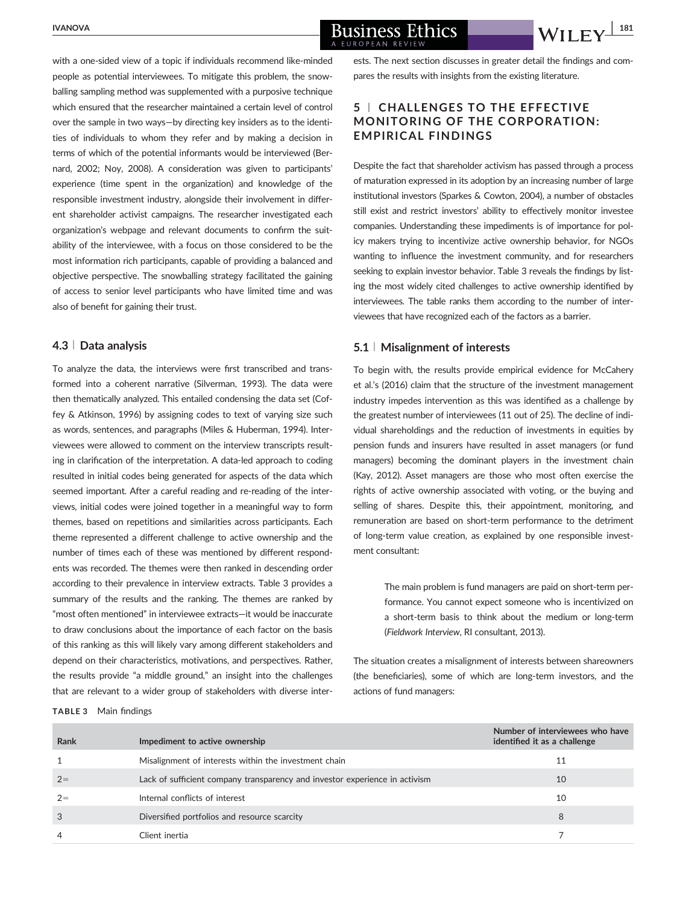with a one-sided view of a topic if individuals recommend like-minded people as potential interviewees. To mitigate this problem, the snowballing sampling method was supplemented with a purposive technique which ensured that the researcher maintained a certain level of control over the sample in two ways—by directing key insiders as to the identities of individuals to whom they refer and by making a decision in terms of which of the potential informants would be interviewed (Bernard, 2002; Noy, 2008). A consideration was given to participants' experience (time spent in the organization) and knowledge of the responsible investment industry, alongside their involvement in different shareholder activist campaigns. The researcher investigated each organization's webpage and relevant documents to confirm the suitability of the interviewee, with a focus on those considered to be the most information rich participants, capable of providing a balanced and objective perspective. The snowballing strategy facilitated the gaining of access to senior level participants who have limited time and was also of benefit for gaining their trust.

#### 4.3 <sup>|</sup> Data analysis

To analyze the data, the interviews were first transcribed and transformed into a coherent narrative (Silverman, 1993). The data were then thematically analyzed. This entailed condensing the data set (Coffey & Atkinson, 1996) by assigning codes to text of varying size such as words, sentences, and paragraphs (Miles & Huberman, 1994). Interviewees were allowed to comment on the interview transcripts resulting in clarification of the interpretation. A data-led approach to coding resulted in initial codes being generated for aspects of the data which seemed important. After a careful reading and re-reading of the interviews, initial codes were joined together in a meaningful way to form themes, based on repetitions and similarities across participants. Each theme represented a different challenge to active ownership and the number of times each of these was mentioned by different respondents was recorded. The themes were then ranked in descending order according to their prevalence in interview extracts. Table 3 provides a summary of the results and the ranking. The themes are ranked by "most often mentioned" in interviewee extracts—it would be inaccurate to draw conclusions about the importance of each factor on the basis of this ranking as this will likely vary among different stakeholders and depend on their characteristics, motivations, and perspectives. Rather, the results provide "a middle ground," an insight into the challenges that are relevant to a wider group of stakeholders with diverse inter-

TABLE 3 Main findings

ests. The next section discusses in greater detail the findings and compares the results with insights from the existing literature.

### 5 <sup>|</sup> CHALLENGES TO THE EFFECTIVE MONITORING OF THE CORPORATION: EMPIRICAL FINDINGS

Despite the fact that shareholder activism has passed through a process of maturation expressed in its adoption by an increasing number of large institutional investors (Sparkes & Cowton, 2004), a number of obstacles still exist and restrict investors' ability to effectively monitor investee companies. Understanding these impediments is of importance for policy makers trying to incentivize active ownership behavior, for NGOs wanting to influence the investment community, and for researchers seeking to explain investor behavior. Table 3 reveals the findings by listing the most widely cited challenges to active ownership identified by interviewees. The table ranks them according to the number of interviewees that have recognized each of the factors as a barrier.

#### 5.1 <sup>|</sup> Misalignment of interests

To begin with, the results provide empirical evidence for McCahery et al.'s (2016) claim that the structure of the investment management industry impedes intervention as this was identified as a challenge by the greatest number of interviewees (11 out of 25). The decline of individual shareholdings and the reduction of investments in equities by pension funds and insurers have resulted in asset managers (or fund managers) becoming the dominant players in the investment chain (Kay, 2012). Asset managers are those who most often exercise the rights of active ownership associated with voting, or the buying and selling of shares. Despite this, their appointment, monitoring, and remuneration are based on short-term performance to the detriment of long-term value creation, as explained by one responsible investment consultant:

> The main problem is fund managers are paid on short-term performance. You cannot expect someone who is incentivized on a short-term basis to think about the medium or long-term (Fieldwork Interview, RI consultant, 2013).

The situation creates a misalignment of interests between shareowners (the beneficiaries), some of which are long-term investors, and the actions of fund managers:

| Rank | Impediment to active ownership                                              | Number of interviewees who have<br>identified it as a challenge |
|------|-----------------------------------------------------------------------------|-----------------------------------------------------------------|
|      | Misalignment of interests within the investment chain                       | 11                                                              |
| $2=$ | Lack of sufficient company transparency and investor experience in activism | 10                                                              |
| $2=$ | Internal conflicts of interest                                              | 10                                                              |
|      | Diversified portfolios and resource scarcity                                | 8                                                               |
|      | Client inertia                                                              |                                                                 |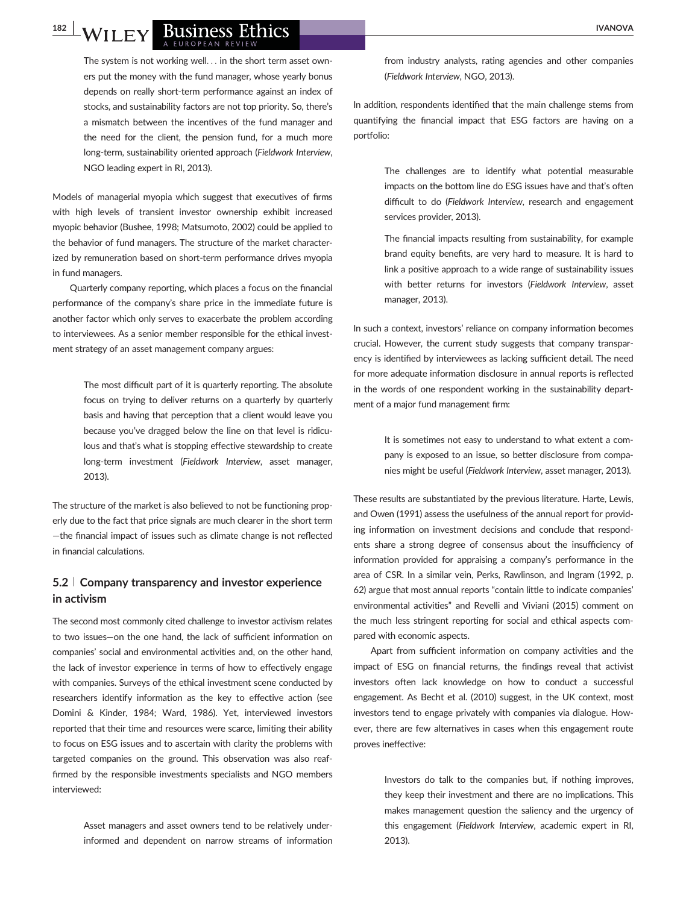#### WILEY BUSINESS Ethics A EUROPEAN REVIEW

The system is not working well... in the short term asset owners put the money with the fund manager, whose yearly bonus depends on really short-term performance against an index of stocks, and sustainability factors are not top priority. So, there's a mismatch between the incentives of the fund manager and the need for the client, the pension fund, for a much more long-term, sustainability oriented approach (Fieldwork Interview, NGO leading expert in RI, 2013).

Models of managerial myopia which suggest that executives of firms with high levels of transient investor ownership exhibit increased myopic behavior (Bushee, 1998; Matsumoto, 2002) could be applied to the behavior of fund managers. The structure of the market characterized by remuneration based on short-term performance drives myopia in fund managers.

Quarterly company reporting, which places a focus on the financial performance of the company's share price in the immediate future is another factor which only serves to exacerbate the problem according to interviewees. As a senior member responsible for the ethical investment strategy of an asset management company argues:

> The most difficult part of it is quarterly reporting. The absolute focus on trying to deliver returns on a quarterly by quarterly basis and having that perception that a client would leave you because you've dragged below the line on that level is ridiculous and that's what is stopping effective stewardship to create long-term investment (Fieldwork Interview, asset manager, 2013).

The structure of the market is also believed to not be functioning properly due to the fact that price signals are much clearer in the short term —the financial impact of issues such as climate change is not reflected in financial calculations.

#### 5.2 <sup>|</sup> Company transparency and investor experience in activism

The second most commonly cited challenge to investor activism relates to two issues—on the one hand, the lack of sufficient information on companies' social and environmental activities and, on the other hand, the lack of investor experience in terms of how to effectively engage with companies. Surveys of the ethical investment scene conducted by researchers identify information as the key to effective action (see Domini & Kinder, 1984; Ward, 1986). Yet, interviewed investors reported that their time and resources were scarce, limiting their ability to focus on ESG issues and to ascertain with clarity the problems with targeted companies on the ground. This observation was also reaffirmed by the responsible investments specialists and NGO members interviewed:

> Asset managers and asset owners tend to be relatively underinformed and dependent on narrow streams of information

from industry analysts, rating agencies and other companies (Fieldwork Interview, NGO, 2013).

In addition, respondents identified that the main challenge stems from quantifying the financial impact that ESG factors are having on a portfolio:

> The challenges are to identify what potential measurable impacts on the bottom line do ESG issues have and that's often difficult to do (Fieldwork Interview, research and engagement services provider, 2013).

> The financial impacts resulting from sustainability, for example brand equity benefits, are very hard to measure. It is hard to link a positive approach to a wide range of sustainability issues with better returns for investors (Fieldwork Interview, asset manager, 2013).

In such a context, investors' reliance on company information becomes crucial. However, the current study suggests that company transparency is identified by interviewees as lacking sufficient detail. The need for more adequate information disclosure in annual reports is reflected in the words of one respondent working in the sustainability department of a major fund management firm:

> It is sometimes not easy to understand to what extent a company is exposed to an issue, so better disclosure from companies might be useful (Fieldwork Interview, asset manager, 2013).

These results are substantiated by the previous literature. Harte, Lewis, and Owen (1991) assess the usefulness of the annual report for providing information on investment decisions and conclude that respondents share a strong degree of consensus about the insufficiency of information provided for appraising a company's performance in the area of CSR. In a similar vein, Perks, Rawlinson, and Ingram (1992, p. 62) argue that most annual reports "contain little to indicate companies' environmental activities" and Revelli and Viviani (2015) comment on the much less stringent reporting for social and ethical aspects compared with economic aspects.

Apart from sufficient information on company activities and the impact of ESG on financial returns, the findings reveal that activist investors often lack knowledge on how to conduct a successful engagement. As Becht et al. (2010) suggest, in the UK context, most investors tend to engage privately with companies via dialogue. However, there are few alternatives in cases when this engagement route proves ineffective:

> Investors do talk to the companies but, if nothing improves, they keep their investment and there are no implications. This makes management question the saliency and the urgency of this engagement (Fieldwork Interview, academic expert in RI, 2013).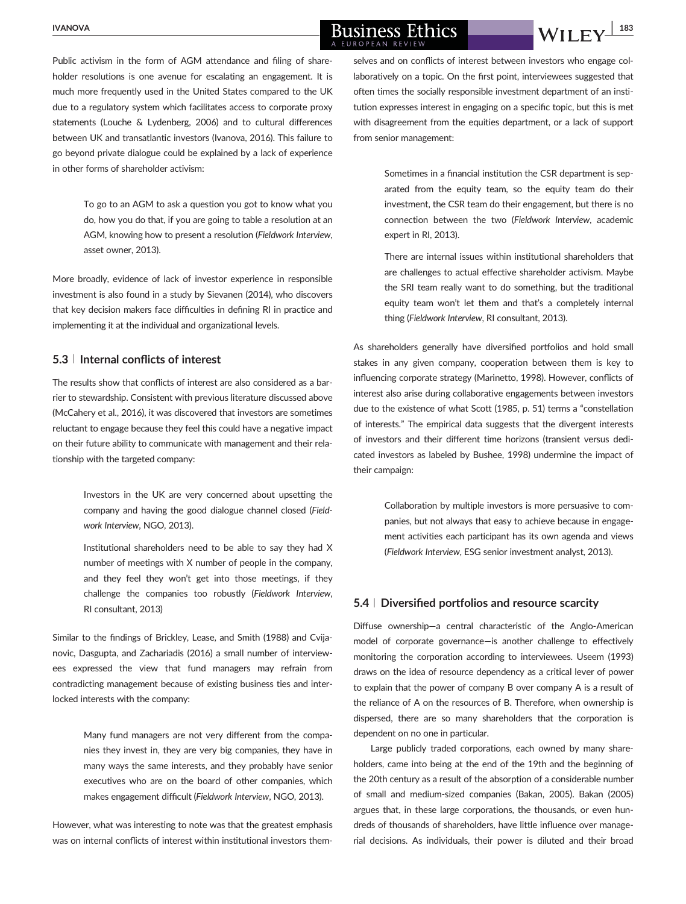# $\frac{NANOVA}{NANOVA}$  Business Ethics  $\frac{183}{NII}$

Public activism in the form of AGM attendance and filing of shareholder resolutions is one avenue for escalating an engagement. It is much more frequently used in the United States compared to the UK due to a regulatory system which facilitates access to corporate proxy statements (Louche & Lydenberg, 2006) and to cultural differences between UK and transatlantic investors (Ivanova, 2016). This failure to go beyond private dialogue could be explained by a lack of experience in other forms of shareholder activism:

> To go to an AGM to ask a question you got to know what you do, how you do that, if you are going to table a resolution at an AGM, knowing how to present a resolution (Fieldwork Interview, asset owner, 2013).

More broadly, evidence of lack of investor experience in responsible investment is also found in a study by Sievanen (2014), who discovers that key decision makers face difficulties in defining RI in practice and implementing it at the individual and organizational levels.

#### 5.3 <sup>|</sup> Internal conflicts of interest

The results show that conflicts of interest are also considered as a barrier to stewardship. Consistent with previous literature discussed above (McCahery et al., 2016), it was discovered that investors are sometimes reluctant to engage because they feel this could have a negative impact on their future ability to communicate with management and their relationship with the targeted company:

> Investors in the UK are very concerned about upsetting the company and having the good dialogue channel closed (Fieldwork Interview, NGO, 2013).

> Institutional shareholders need to be able to say they had X number of meetings with X number of people in the company, and they feel they won't get into those meetings, if they challenge the companies too robustly (Fieldwork Interview, RI consultant, 2013)

Similar to the findings of Brickley, Lease, and Smith (1988) and Cvijanovic, Dasgupta, and Zachariadis (2016) a small number of interviewees expressed the view that fund managers may refrain from contradicting management because of existing business ties and interlocked interests with the company:

> Many fund managers are not very different from the companies they invest in, they are very big companies, they have in many ways the same interests, and they probably have senior executives who are on the board of other companies, which makes engagement difficult (Fieldwork Interview, NGO, 2013).

However, what was interesting to note was that the greatest emphasis was on internal conflicts of interest within institutional investors them-

selves and on conflicts of interest between investors who engage collaboratively on a topic. On the first point, interviewees suggested that often times the socially responsible investment department of an institution expresses interest in engaging on a specific topic, but this is met with disagreement from the equities department, or a lack of support from senior management:

> Sometimes in a financial institution the CSR department is separated from the equity team, so the equity team do their investment, the CSR team do their engagement, but there is no connection between the two (Fieldwork Interview, academic expert in RI, 2013).

> There are internal issues within institutional shareholders that are challenges to actual effective shareholder activism. Maybe the SRI team really want to do something, but the traditional equity team won't let them and that's a completely internal thing (Fieldwork Interview, RI consultant, 2013).

As shareholders generally have diversified portfolios and hold small stakes in any given company, cooperation between them is key to influencing corporate strategy (Marinetto, 1998). However, conflicts of interest also arise during collaborative engagements between investors due to the existence of what Scott (1985, p. 51) terms a "constellation of interests." The empirical data suggests that the divergent interests of investors and their different time horizons (transient versus dedicated investors as labeled by Bushee, 1998) undermine the impact of their campaign:

> Collaboration by multiple investors is more persuasive to companies, but not always that easy to achieve because in engagement activities each participant has its own agenda and views (Fieldwork Interview, ESG senior investment analyst, 2013).

#### 5.4 <sup>|</sup> Diversified portfolios and resource scarcity

Diffuse ownership—a central characteristic of the Anglo-American model of corporate governance—is another challenge to effectively monitoring the corporation according to interviewees. Useem (1993) draws on the idea of resource dependency as a critical lever of power to explain that the power of company B over company A is a result of the reliance of A on the resources of B. Therefore, when ownership is dispersed, there are so many shareholders that the corporation is dependent on no one in particular.

Large publicly traded corporations, each owned by many shareholders, came into being at the end of the 19th and the beginning of the 20th century as a result of the absorption of a considerable number of small and medium-sized companies (Bakan, 2005). Bakan (2005) argues that, in these large corporations, the thousands, or even hundreds of thousands of shareholders, have little influence over managerial decisions. As individuals, their power is diluted and their broad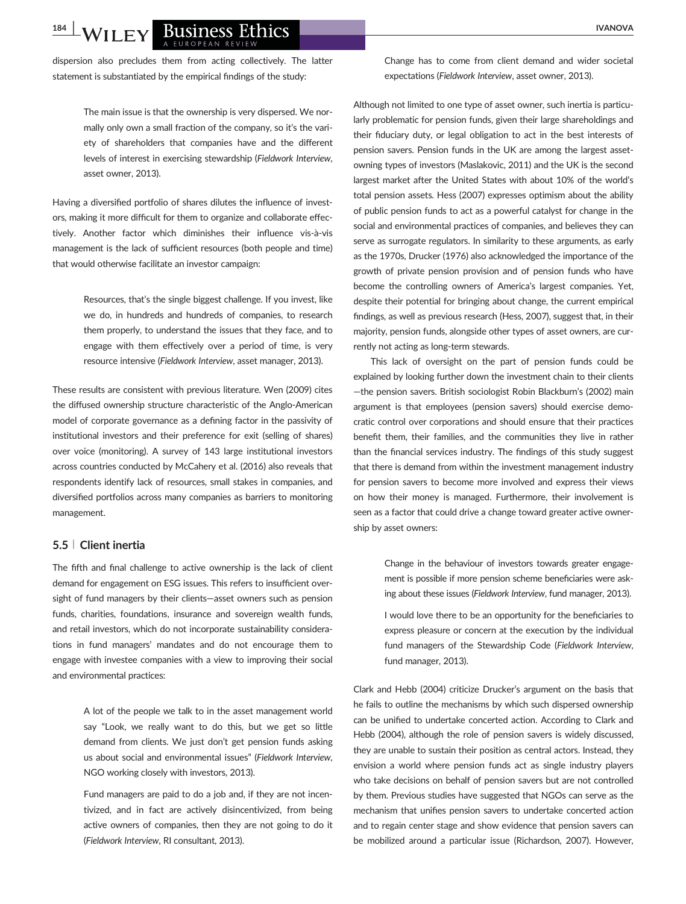## THEY BUSINESS Ethics **Figure 18 and 1999**

dispersion also precludes them from acting collectively. The latter statement is substantiated by the empirical findings of the study:

> The main issue is that the ownership is very dispersed. We normally only own a small fraction of the company, so it's the variety of shareholders that companies have and the different levels of interest in exercising stewardship (Fieldwork Interview, asset owner, 2013).

Having a diversified portfolio of shares dilutes the influence of investors, making it more difficult for them to organize and collaborate effectively. Another factor which diminishes their influence vis-à-vis management is the lack of sufficient resources (both people and time) that would otherwise facilitate an investor campaign:

> Resources, that's the single biggest challenge. If you invest, like we do, in hundreds and hundreds of companies, to research them properly, to understand the issues that they face, and to engage with them effectively over a period of time, is very resource intensive (Fieldwork Interview, asset manager, 2013).

These results are consistent with previous literature. Wen (2009) cites the diffused ownership structure characteristic of the Anglo-American model of corporate governance as a defining factor in the passivity of institutional investors and their preference for exit (selling of shares) over voice (monitoring). A survey of 143 large institutional investors across countries conducted by McCahery et al. (2016) also reveals that respondents identify lack of resources, small stakes in companies, and diversified portfolios across many companies as barriers to monitoring management.

#### 5.5 <sup>|</sup> Client inertia

The fifth and final challenge to active ownership is the lack of client demand for engagement on ESG issues. This refers to insufficient oversight of fund managers by their clients—asset owners such as pension funds, charities, foundations, insurance and sovereign wealth funds, and retail investors, which do not incorporate sustainability considerations in fund managers' mandates and do not encourage them to engage with investee companies with a view to improving their social and environmental practices:

> A lot of the people we talk to in the asset management world say "Look, we really want to do this, but we get so little demand from clients. We just don't get pension funds asking us about social and environmental issues" (Fieldwork Interview, NGO working closely with investors, 2013).

> Fund managers are paid to do a job and, if they are not incentivized, and in fact are actively disincentivized, from being active owners of companies, then they are not going to do it (Fieldwork Interview, RI consultant, 2013).

Change has to come from client demand and wider societal expectations (Fieldwork Interview, asset owner, 2013).

Although not limited to one type of asset owner, such inertia is particularly problematic for pension funds, given their large shareholdings and their fiduciary duty, or legal obligation to act in the best interests of pension savers. Pension funds in the UK are among the largest assetowning types of investors (Maslakovic, 2011) and the UK is the second largest market after the United States with about 10% of the world's total pension assets. Hess (2007) expresses optimism about the ability of public pension funds to act as a powerful catalyst for change in the social and environmental practices of companies, and believes they can serve as surrogate regulators. In similarity to these arguments, as early as the 1970s, Drucker (1976) also acknowledged the importance of the growth of private pension provision and of pension funds who have become the controlling owners of America's largest companies. Yet, despite their potential for bringing about change, the current empirical findings, as well as previous research (Hess, 2007), suggest that, in their majority, pension funds, alongside other types of asset owners, are currently not acting as long-term stewards.

This lack of oversight on the part of pension funds could be explained by looking further down the investment chain to their clients —the pension savers. British sociologist Robin Blackburn's (2002) main argument is that employees (pension savers) should exercise democratic control over corporations and should ensure that their practices benefit them, their families, and the communities they live in rather than the financial services industry. The findings of this study suggest that there is demand from within the investment management industry for pension savers to become more involved and express their views on how their money is managed. Furthermore, their involvement is seen as a factor that could drive a change toward greater active ownership by asset owners:

> Change in the behaviour of investors towards greater engagement is possible if more pension scheme beneficiaries were asking about these issues (Fieldwork Interview, fund manager, 2013).

> I would love there to be an opportunity for the beneficiaries to express pleasure or concern at the execution by the individual fund managers of the Stewardship Code (Fieldwork Interview, fund manager, 2013).

Clark and Hebb (2004) criticize Drucker's argument on the basis that he fails to outline the mechanisms by which such dispersed ownership can be unified to undertake concerted action. According to Clark and Hebb (2004), although the role of pension savers is widely discussed, they are unable to sustain their position as central actors. Instead, they envision a world where pension funds act as single industry players who take decisions on behalf of pension savers but are not controlled by them. Previous studies have suggested that NGOs can serve as the mechanism that unifies pension savers to undertake concerted action and to regain center stage and show evidence that pension savers can be mobilized around a particular issue (Richardson, 2007). However,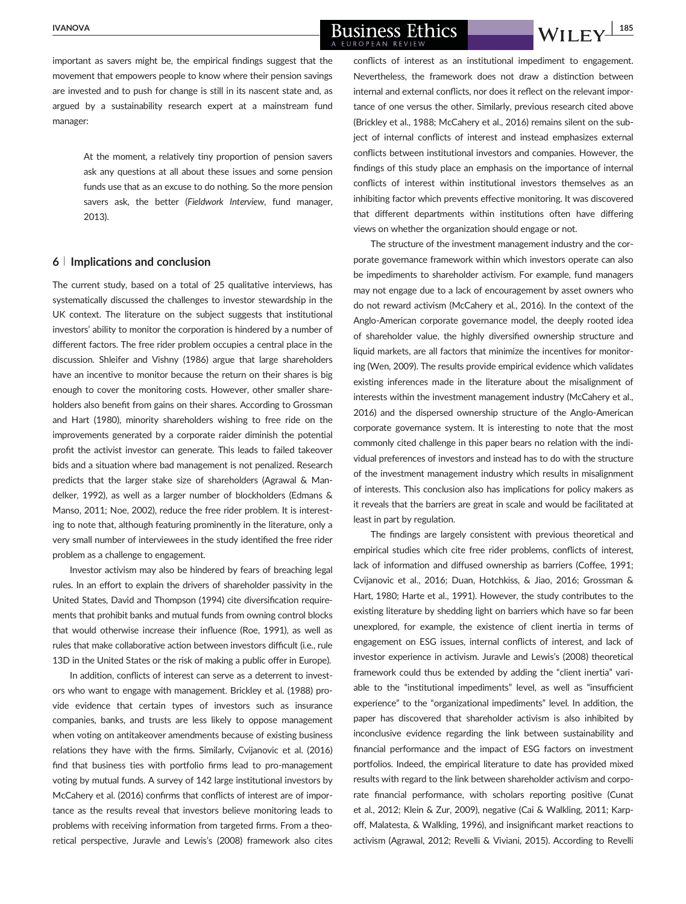#### $\frac{NANOVA}{NANOVA}$  Business Ethics  $\frac{1.185}{NII}$  Will Fy  $\frac{1.185}{NII}$ A EUROPEAN REVIEW

important as savers might be, the empirical findings suggest that the movement that empowers people to know where their pension savings are invested and to push for change is still in its nascent state and, as argued by a sustainability research expert at a mainstream fund manager:

> At the moment, a relatively tiny proportion of pension savers ask any questions at all about these issues and some pension funds use that as an excuse to do nothing. So the more pension savers ask, the better (Fieldwork Interview, fund manager, 2013).

#### 6 <sup>|</sup> Implications and conclusion

The current study, based on a total of 25 qualitative interviews, has systematically discussed the challenges to investor stewardship in the UK context. The literature on the subject suggests that institutional investors' ability to monitor the corporation is hindered by a number of different factors. The free rider problem occupies a central place in the discussion. Shleifer and Vishny (1986) argue that large shareholders have an incentive to monitor because the return on their shares is big enough to cover the monitoring costs. However, other smaller shareholders also benefit from gains on their shares. According to Grossman and Hart (1980), minority shareholders wishing to free ride on the improvements generated by a corporate raider diminish the potential profit the activist investor can generate. This leads to failed takeover bids and a situation where bad management is not penalized. Research predicts that the larger stake size of shareholders (Agrawal & Mandelker, 1992), as well as a larger number of blockholders (Edmans & Manso, 2011; Noe, 2002), reduce the free rider problem. It is interesting to note that, although featuring prominently in the literature, only a very small number of interviewees in the study identified the free rider problem as a challenge to engagement.

Investor activism may also be hindered by fears of breaching legal rules. In an effort to explain the drivers of shareholder passivity in the United States, David and Thompson (1994) cite diversification requirements that prohibit banks and mutual funds from owning control blocks that would otherwise increase their influence (Roe, 1991), as well as rules that make collaborative action between investors difficult (i.e., rule 13D in the United States or the risk of making a public offer in Europe).

In addition, conflicts of interest can serve as a deterrent to investors who want to engage with management. Brickley et al. (1988) provide evidence that certain types of investors such as insurance companies, banks, and trusts are less likely to oppose management when voting on antitakeover amendments because of existing business relations they have with the firms. Similarly, Cvijanovic et al. (2016) find that business ties with portfolio firms lead to pro-management voting by mutual funds. A survey of 142 large institutional investors by McCahery et al. (2016) confirms that conflicts of interest are of importance as the results reveal that investors believe monitoring leads to problems with receiving information from targeted firms. From a theoretical perspective, Juravle and Lewis's (2008) framework also cites

conflicts of interest as an institutional impediment to engagement. Nevertheless, the framework does not draw a distinction between internal and external conflicts, nor does it reflect on the relevant importance of one versus the other. Similarly, previous research cited above (Brickley et al., 1988; McCahery et al., 2016) remains silent on the subject of internal conflicts of interest and instead emphasizes external conflicts between institutional investors and companies. However, the findings of this study place an emphasis on the importance of internal conflicts of interest within institutional investors themselves as an inhibiting factor which prevents effective monitoring. It was discovered that different departments within institutions often have differing views on whether the organization should engage or not.

The structure of the investment management industry and the corporate governance framework within which investors operate can also be impediments to shareholder activism. For example, fund managers may not engage due to a lack of encouragement by asset owners who do not reward activism (McCahery et al., 2016). In the context of the Anglo-American corporate governance model, the deeply rooted idea of shareholder value, the highly diversified ownership structure and liquid markets, are all factors that minimize the incentives for monitoring (Wen, 2009). The results provide empirical evidence which validates existing inferences made in the literature about the misalignment of interests within the investment management industry (McCahery et al., 2016) and the dispersed ownership structure of the Anglo-American corporate governance system. It is interesting to note that the most commonly cited challenge in this paper bears no relation with the individual preferences of investors and instead has to do with the structure of the investment management industry which results in misalignment of interests. This conclusion also has implications for policy makers as it reveals that the barriers are great in scale and would be facilitated at least in part by regulation.

The findings are largely consistent with previous theoretical and empirical studies which cite free rider problems, conflicts of interest, lack of information and diffused ownership as barriers (Coffee, 1991; Cvijanovic et al., 2016; Duan, Hotchkiss, & Jiao, 2016; Grossman & Hart, 1980; Harte et al., 1991). However, the study contributes to the existing literature by shedding light on barriers which have so far been unexplored, for example, the existence of client inertia in terms of engagement on ESG issues, internal conflicts of interest, and lack of investor experience in activism. Juravle and Lewis's (2008) theoretical framework could thus be extended by adding the "client inertia" variable to the "institutional impediments" level, as well as "insufficient experience" to the "organizational impediments" level. In addition, the paper has discovered that shareholder activism is also inhibited by inconclusive evidence regarding the link between sustainability and financial performance and the impact of ESG factors on investment portfolios. Indeed, the empirical literature to date has provided mixed results with regard to the link between shareholder activism and corporate financial performance, with scholars reporting positive (Cunat et al., 2012; Klein & Zur, 2009), negative (Cai & Walkling, 2011; Karpoff, Malatesta, & Walkling, 1996), and insignificant market reactions to activism (Agrawal, 2012; Revelli & Viviani, 2015). According to Revelli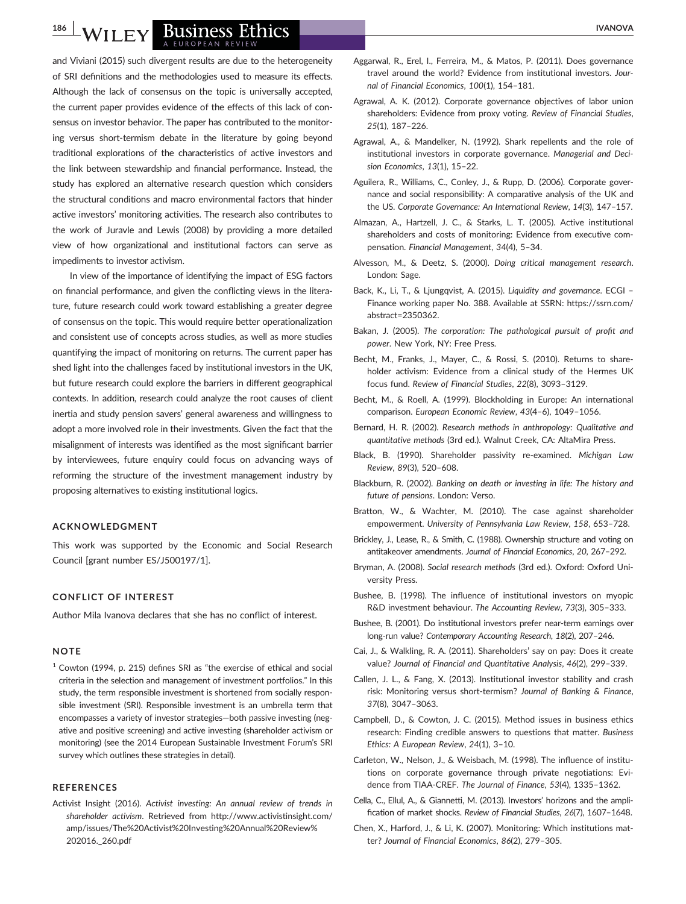# VILEY BUSINESS Ethics

and Viviani (2015) such divergent results are due to the heterogeneity of SRI definitions and the methodologies used to measure its effects. Although the lack of consensus on the topic is universally accepted, the current paper provides evidence of the effects of this lack of consensus on investor behavior. The paper has contributed to the monitoring versus short-termism debate in the literature by going beyond traditional explorations of the characteristics of active investors and the link between stewardship and financial performance. Instead, the study has explored an alternative research question which considers the structural conditions and macro environmental factors that hinder active investors' monitoring activities. The research also contributes to the work of Juravle and Lewis (2008) by providing a more detailed view of how organizational and institutional factors can serve as impediments to investor activism.

In view of the importance of identifying the impact of ESG factors on financial performance, and given the conflicting views in the literature, future research could work toward establishing a greater degree of consensus on the topic. This would require better operationalization and consistent use of concepts across studies, as well as more studies quantifying the impact of monitoring on returns. The current paper has shed light into the challenges faced by institutional investors in the UK, but future research could explore the barriers in different geographical contexts. In addition, research could analyze the root causes of client inertia and study pension savers' general awareness and willingness to adopt a more involved role in their investments. Given the fact that the misalignment of interests was identified as the most significant barrier by interviewees, future enquiry could focus on advancing ways of reforming the structure of the investment management industry by proposing alternatives to existing institutional logics.

#### ACKNOWLEDGMENT

This work was supported by the Economic and Social Research Council [grant number ES/J500197/1].

#### CONFLICT OF INTEREST

Author Mila Ivanova declares that she has no conflict of interest.

#### **NOTE**

 $1$  Cowton (1994, p. 215) defines SRI as "the exercise of ethical and social criteria in the selection and management of investment portfolios." In this study, the term responsible investment is shortened from socially responsible investment (SRI). Responsible investment is an umbrella term that encompasses a variety of investor strategies—both passive investing (negative and positive screening) and active investing (shareholder activism or monitoring) (see the 2014 European Sustainable Investment Forum's SRI survey which outlines these strategies in detail).

#### **REFERENCES**

Activist Insight (2016). Activist investing: An annual review of trends in shareholder activism. Retrieved from [http://www.activistinsight.com/](http://www.activistinsight.com/amp/issues/The%20Activist%20Investing%20Annual%20Review%202016._260.pdf) [amp/issues/The%20Activist%20Investing%20Annual%20Review%](http://www.activistinsight.com/amp/issues/The%20Activist%20Investing%20Annual%20Review%202016._260.pdf) [202016.\\_260.pdf](http://www.activistinsight.com/amp/issues/The%20Activist%20Investing%20Annual%20Review%202016._260.pdf)

- Aggarwal, R., Erel, I., Ferreira, M., & Matos, P. (2011). Does governance travel around the world? Evidence from institutional investors. Journal of Financial Economics, 100(1), 154–181.
- Agrawal, A. K. (2012). Corporate governance objectives of labor union shareholders: Evidence from proxy voting. Review of Financial Studies, 25(1), 187–226.
- Agrawal, A., & Mandelker, N. (1992). Shark repellents and the role of institutional investors in corporate governance. Managerial and Decision Economics, 13(1), 15–22.
- Aguilera, R., Williams, C., Conley, J., & Rupp, D. (2006). Corporate governance and social responsibility: A comparative analysis of the UK and the US. Corporate Governance: An International Review, 14(3), 147–157.
- Almazan, A., Hartzell, J. C., & Starks, L. T. (2005). Active institutional shareholders and costs of monitoring: Evidence from executive compensation. Financial Management, 34(4), 5–34.
- Alvesson, M., & Deetz, S. (2000). Doing critical management research. London: Sage.
- Back, K., Li, T., & Ljungqvist, A. (2015). Liquidity and governance. ECGI Finance working paper No. 388. Available at SSRN: https://ssrn.com/ abstract=2350362.
- Bakan, J. (2005). The corporation: The pathological pursuit of profit and power. New York, NY: Free Press.
- Becht, M., Franks, J., Mayer, C., & Rossi, S. (2010). Returns to shareholder activism: Evidence from a clinical study of the Hermes UK focus fund. Review of Financial Studies, 22(8), 3093–3129.
- Becht, M., & Roell, A. (1999). Blockholding in Europe: An international comparison. European Economic Review, 43(4–6), 1049–1056.
- Bernard, H. R. (2002). Research methods in anthropology: Qualitative and quantitative methods (3rd ed.). Walnut Creek, CA: AltaMira Press.
- Black, B. (1990). Shareholder passivity re-examined. Michigan Law Review, 89(3), 520–608.
- Blackburn, R. (2002). Banking on death or investing in life: The history and future of pensions. London: Verso.
- Bratton, W., & Wachter, M. (2010). The case against shareholder empowerment. University of Pennsylvania Law Review, 158, 653–728.
- Brickley, J., Lease, R., & Smith, C. (1988). Ownership structure and voting on antitakeover amendments. Journal of Financial Economics, 20, 267–292.
- Bryman, A. (2008). Social research methods (3rd ed.). Oxford: Oxford University Press.
- Bushee, B. (1998). The influence of institutional investors on myopic R&D investment behaviour. The Accounting Review, 73(3), 305–333.
- Bushee, B. (2001). Do institutional investors prefer near-term earnings over long-run value? Contemporary Accounting Research, 18(2), 207–246.
- Cai, J., & Walkling, R. A. (2011). Shareholders' say on pay: Does it create value? Journal of Financial and Quantitative Analysis, 46(2), 299–339.
- Callen, J. L., & Fang, X. (2013). Institutional investor stability and crash risk: Monitoring versus short-termism? Journal of Banking & Finance, 37(8), 3047–3063.
- Campbell, D., & Cowton, J. C. (2015). Method issues in business ethics research: Finding credible answers to questions that matter. Business Ethics: A European Review, 24(1), 3–10.
- Carleton, W., Nelson, J., & Weisbach, M. (1998). The influence of institutions on corporate governance through private negotiations: Evidence from TIAA-CREF. The Journal of Finance, 53(4), 1335–1362.
- Cella, C., Ellul, A., & Giannetti, M. (2013). Investors' horizons and the amplification of market shocks. Review of Financial Studies, 26(7), 1607–1648.
- Chen, X., Harford, J., & Li, K. (2007). Monitoring: Which institutions matter? Journal of Financial Economics, 86(2), 279–305.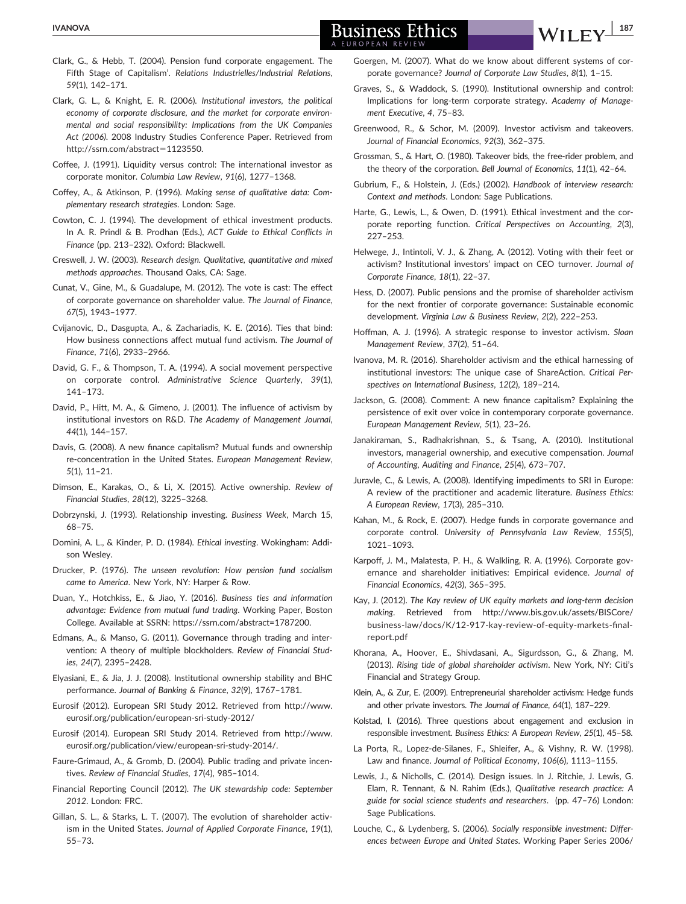#### $\frac{NANOVA}{NANOVA}$  Business Ethics  $\frac{1.87}{NII}$   $\frac{1.87}{NII}$ EUROPEAN REVIEV

- Clark, G., & Hebb, T. (2004). Pension fund corporate engagement. The Fifth Stage of Capitalism'. Relations Industrielles/Industrial Relations, 59(1), 142–171.
- Clark, G. L., & Knight, E. R. (2006). Institutional investors, the political economy of corporate disclosure, and the market for corporate environmental and social responsibility: Implications from the UK Companies Act (2006). 2008 Industry Studies Conference Paper. Retrieved from [http://ssrn.com/abstract](http://ssrn.com/abstract=1123550)=[1123550](http://ssrn.com/abstract=1123550).
- Coffee, J. (1991). Liquidity versus control: The international investor as corporate monitor. Columbia Law Review, 91(6), 1277–1368.
- Coffey, A., & Atkinson, P. (1996). Making sense of qualitative data: Complementary research strategies. London: Sage.
- Cowton, C. J. (1994). The development of ethical investment products. In A. R. Prindl & B. Prodhan (Eds.), ACT Guide to Ethical Conflicts in Finance (pp. 213–232). Oxford: Blackwell.
- Creswell, J. W. (2003). Research design. Qualitative, quantitative and mixed methods approaches. Thousand Oaks, CA: Sage.
- Cunat, V., Gine, M., & Guadalupe, M. (2012). The vote is cast: The effect of corporate governance on shareholder value. The Journal of Finance, 67(5), 1943–1977.
- Cvijanovic, D., Dasgupta, A., & Zachariadis, K. E. (2016). Ties that bind: How business connections affect mutual fund activism. The Journal of Finance, 71(6), 2933–2966.
- David, G. F., & Thompson, T. A. (1994). A social movement perspective on corporate control. Administrative Science Quarterly, 39(1), 141–173.
- David, P., Hitt, M. A., & Gimeno, J. (2001). The influence of activism by institutional investors on R&D. The Academy of Management Journal, 44(1), 144–157.
- Davis, G. (2008). A new finance capitalism? Mutual funds and ownership re-concentration in the United States. European Management Review, 5(1), 11–21.
- Dimson, E., Karakas, O., & Li, X. (2015). Active ownership. Review of Financial Studies, 28(12), 3225–3268.
- Dobrzynski, J. (1993). Relationship investing. Business Week, March 15, 68–75.
- Domini, A. L., & Kinder, P. D. (1984). Ethical investing. Wokingham: Addison Wesley.
- Drucker, P. (1976). The unseen revolution: How pension fund socialism came to America. New York, NY: Harper & Row.
- Duan, Y., Hotchkiss, E., & Jiao, Y. (2016). Business ties and information advantage: Evidence from mutual fund trading. Working Paper, Boston College. Available at SSRN: https://ssrn.com/abstract=1787200.
- Edmans, A., & Manso, G. (2011). Governance through trading and intervention: A theory of multiple blockholders. Review of Financial Studies, 24(7), 2395–2428.
- Elyasiani, E., & Jia, J. J. (2008). Institutional ownership stability and BHC performance. Journal of Banking & Finance, 32(9), 1767–1781.
- Eurosif (2012). European SRI Study 2012. Retrieved from [http://www.](http://www.eurosif.org/publication/european-sri-study-2012) [eurosif.org/publication/european-sri-study-2012/](http://www.eurosif.org/publication/european-sri-study-2012)
- Eurosif (2014). European SRI Study 2014. Retrieved from [http://www.](http://www.eurosif.org/publication/view/european-sri-study-2014) [eurosif.org/publication/view/european-sri-study-2014/](http://www.eurosif.org/publication/view/european-sri-study-2014).
- Faure-Grimaud, A., & Gromb, D. (2004). Public trading and private incentives. Review of Financial Studies, 17(4), 985–1014.
- Financial Reporting Council (2012). The UK stewardship code: September 2012. London: FRC.
- Gillan, S. L., & Starks, L. T. (2007). The evolution of shareholder activism in the United States. Journal of Applied Corporate Finance, 19(1), 55–73.
- Goergen, M. (2007). What do we know about different systems of corporate governance? Journal of Corporate Law Studies, 8(1), 1–15.
- Graves, S., & Waddock, S. (1990). Institutional ownership and control: Implications for long-term corporate strategy. Academy of Management Executive, 4, 75–83.
- Greenwood, R., & Schor, M. (2009). Investor activism and takeovers. Journal of Financial Economics, 92(3), 362–375.
- Grossman, S., & Hart, O. (1980). Takeover bids, the free-rider problem, and the theory of the corporation. Bell Journal of Economics, 11(1), 42–64.
- Gubrium, F., & Holstein, J. (Eds.) (2002). Handbook of interview research: Context and methods. London: Sage Publications.
- Harte, G., Lewis, L., & Owen, D. (1991). Ethical investment and the corporate reporting function. Critical Perspectives on Accounting, 2(3), 227–253.
- Helwege, J., Intintoli, V. J., & Zhang, A. (2012). Voting with their feet or activism? Institutional investors' impact on CEO turnover. Journal of Corporate Finance, 18(1), 22–37.
- Hess, D. (2007). Public pensions and the promise of shareholder activism for the next frontier of corporate governance: Sustainable economic development. Virginia Law & Business Review, 2(2), 222–253.
- Hoffman, A. J. (1996). A strategic response to investor activism. Sloan Management Review, 37(2), 51–64.
- Ivanova, M. R. (2016). Shareholder activism and the ethical harnessing of institutional investors: The unique case of ShareAction. Critical Perspectives on International Business, 12(2), 189–214.
- Jackson, G. (2008). Comment: A new finance capitalism? Explaining the persistence of exit over voice in contemporary corporate governance. European Management Review, 5(1), 23–26.
- Janakiraman, S., Radhakrishnan, S., & Tsang, A. (2010). Institutional investors, managerial ownership, and executive compensation. Journal of Accounting, Auditing and Finance, 25(4), 673–707.
- Juravle, C., & Lewis, A. (2008). Identifying impediments to SRI in Europe: A review of the practitioner and academic literature. Business Ethics: A European Review, 17(3), 285–310.
- Kahan, M., & Rock, E. (2007). Hedge funds in corporate governance and corporate control. University of Pennsylvania Law Review, 155(5), 1021–1093.
- Karpoff, J. M., Malatesta, P. H., & Walkling, R. A. (1996). Corporate governance and shareholder initiatives: Empirical evidence. Journal of Financial Economics, 42(3), 365–395.
- Kay, J. (2012). The Kay review of UK equity markets and long-term decision making. Retrieved from [http://www.bis.gov.uk/assets/BISCore/](http://www.bis.gov.uk/assets/BISCore/business-law/docs/K/12-917-kay-review-of-equity-markets-final-report.pdf) [business-law/docs/K/12-917-kay-review-of-equity-markets-](http://www.bis.gov.uk/assets/BISCore/business-law/docs/K/12-917-kay-review-of-equity-markets-final-report.pdf)final[report.pdf](http://www.bis.gov.uk/assets/BISCore/business-law/docs/K/12-917-kay-review-of-equity-markets-final-report.pdf)
- Khorana, A., Hoover, E., Shivdasani, A., Sigurdsson, G., & Zhang, M. (2013). Rising tide of global shareholder activism. New York, NY: Citi's Financial and Strategy Group.
- Klein, A., & Zur, E. (2009). Entrepreneurial shareholder activism: Hedge funds and other private investors. The Journal of Finance, 64(1), 187–229.
- Kolstad, I. (2016). Three questions about engagement and exclusion in responsible investment. Business Ethics: A European Review, 25(1), 45–58.
- La Porta, R., Lopez-de-Silanes, F., Shleifer, A., & Vishny, R. W. (1998). Law and finance. Journal of Political Economy, 106(6), 1113–1155.
- Lewis, J., & Nicholls, C. (2014). Design issues. In J. Ritchie, J. Lewis, G. Elam, R. Tennant, & N. Rahim (Eds.), Qualitative research practice: A guide for social science students and researchers. (pp. 47–76) London: Sage Publications.
- Louche, C., & Lydenberg, S. (2006). Socially responsible investment: Differences between Europe and United States. Working Paper Series 2006/